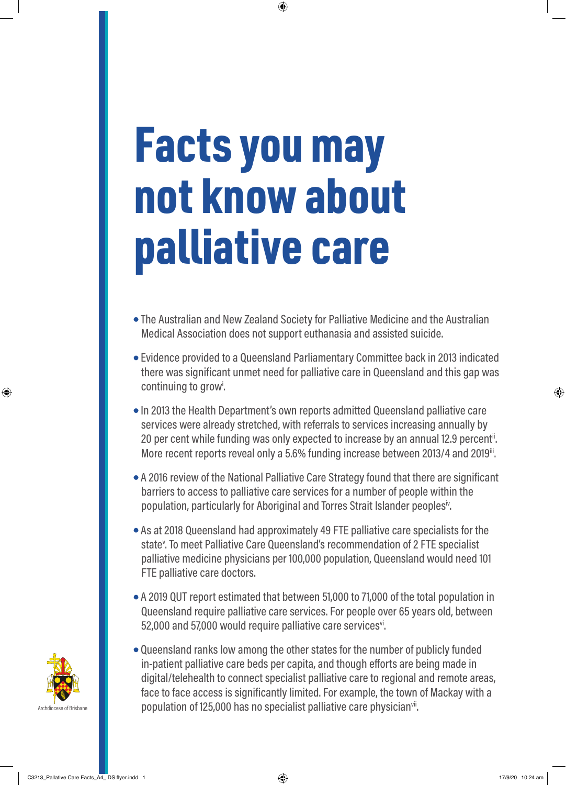## Facts you may not know about palliative care

- The Australian and New Zealand Society for Palliative Medicine and the Australian Medical Association does not support euthanasia and assisted suicide.
- Evidence provided to a Queensland Parliamentary Committee back in 2013 indicated there was significant unmet need for palliative care in Queensland and this gap was continuing to grow<sup>i</sup>.
- In 2013 the Health Department's own reports admitted Queensland palliative care services were already stretched, with referrals to services increasing annually by 20 per cent while funding was only expected to increase by an annual 12.9 percent<sup>ii</sup>. More recent reports reveal only a 5.6% funding increase between 2013/4 and 2019<sup>ii</sup>.
- A 2016 review of the National Palliative Care Strategy found that there are significant barriers to access to palliative care services for a number of people within the population, particularly for Aboriginal and Torres Strait Islander peoples<sup>iv</sup>.
- As at 2018 Queensland had approximately 49 FTE palliative care specialists for the state<sup>v</sup>. To meet Palliative Care Queensland's recommendation of 2 FTE specialist palliative medicine physicians per 100,000 population, Queensland would need 101 FTE palliative care doctors.
- A 2019 QUT report estimated that between 51,000 to 71,000 of the total population in Queensland require palliative care services. For people over 65 years old, between 52,000 and 57,000 would require palliative care services<sup>vi</sup>.
- Queensland ranks low among the other states for the number of publicly funded in-patient palliative care beds per capita, and though efforts are being made in digital/telehealth to connect specialist palliative care to regional and remote areas, face to face access is significantly limited. For example, the town of Mackay with a population of 125,000 has no specialist palliative care physician<sup>vii</sup>.



♠

⊕